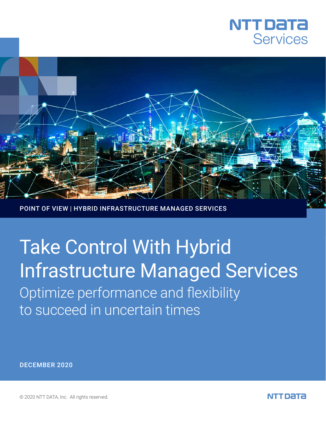



POINT OF VIEW | HYBRID INFRASTRUCTURE MANAGED SERVICES

# Optimize performance and flexibility to succeed in uncertain times Take Control With Hybrid Infrastructure Managed Services

DECEMBER 2020

© 2020 NTT DATA, Inc. All rights reserved.

NTT DATA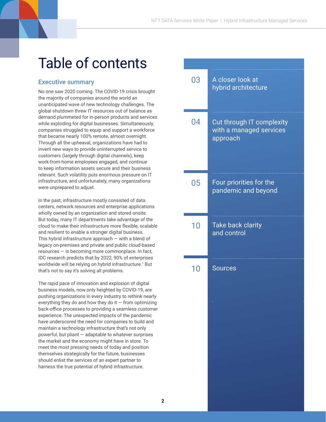### Table of contents

#### Executive summary

No one saw 2020 coming. The COVID-19 crisis brought the majority of companies around the world an unanticipated wave of new technology challenges. The global shutdown threw IT resources out of balance as demand plummeted for in-person products and services while exploding for digital businesses. Simultaneously, companies struggled to equip and support a workforce that became nearly 100% remote, almost overnight. Through all the upheaval, organizations have had to invent new ways to provide uninterrupted service to customers (largely through digital channels), keep work-from-home employees engaged, and continue to keep information assets secure and their business relevant. Such volatility puts enormous pressure on IT infrastructure, and unfortunately, many organizations were unprepared to adjust.

In the past, infrastructure mostly consisted of data centers, network resources and enterprise applications wholly owned by an organization and stored onsite. But today, many IT departments take advantage of the cloud to make their infrastructure more flexible, scalable and resilient to enable a stronger digital business. This hybrid infrastructure approach  $-$  with a blend of legacy on-premises and private and public cloud-based resources — is becoming more commonplace. In fact, IDC research predicts that by 2022, 90% of enterprises worldwide will be relying on hybrid infrastructure.<sup>1</sup> But that's not to say it's solving all problems.

The rapid pace of innovation and explosion of digital business models, now only heighted by COVID-19, are pushing organizations in every industry to rethink nearly everything they do and how they do it  $-$  from optimizing back-office processes to providing a seamless customer experience. The unexpected impacts of the pandemic have underscored the need for companies to build and maintain a technology infrastructure that's not only powerful, but pliant — adaptable to whatever surprises the market and the economy might have in store. To meet the most pressing needs of today and position themselves strategically for the future, businesses should enlist the services of an expert partner to harness the true potential of hybrid infrastructure.

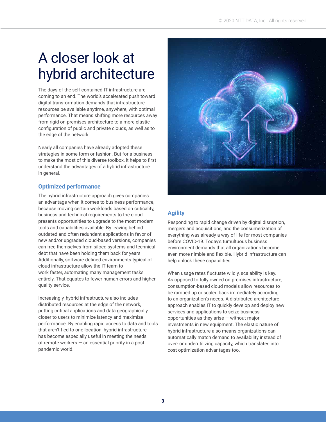# A closer look at hybrid architecture

The days of the self-contained IT infrastructure are coming to an end. The world's accelerated push toward digital transformation demands that infrastructure resources be available anytime, anywhere, with optimal performance. That means shifting more resources away from rigid on-premises architecture to a more elastic configuration of public and private clouds, as well as to the edge of the network.

Nearly all companies have already adopted these strategies in some form or fashion. But for a business to make the most of this diverse toolbox, it helps to first understand the advantages of a hybrid infrastructure in general.

#### **Optimized performance**

The hybrid infrastructure approach gives companies an advantage when it comes to business performance, because moving certain workloads based on criticality, business and technical requirements to the cloud presents opportunities to upgrade to the most modern tools and capabilities available. By leaving behind outdated and often redundant applications in favor of new and/or upgraded cloud-based versions, companies can free themselves from siloed systems and technical debt that have been holding them back for years. Additionally, software-defined environments typical of cloud infrastructure allow the IT team to work faster, automating many management tasks entirely. That equates to fewer human errors and higher quality service.

Increasingly, hybrid infrastructure also includes distributed resources at the edge of the network, putting critical applications and data geographically closer to users to minimize latency and maximize performance. By enabling rapid access to data and tools that aren't tied to one location, hybrid infrastructure has become especially useful in meeting the needs of remote workers — an essential priority in a postpandemic world.



#### **Agility**

Responding to rapid change driven by digital disruption, mergers and acquisitions, and the consumerization of everything was already a way of life for most companies before COVID-19. Today's tumultuous business environment demands that all organizations become even more nimble and flexible. Hybrid infrastructure can help unlock these capabilities.

When usage rates fluctuate wildly, scalability is key. As opposed to fully owned on-premises infrastructure, consumption-based cloud models allow resources to be ramped up or scaled back immediately according to an organization's needs. A distributed architecture approach enables IT to quickly develop and deploy new services and applications to seize business opportunities as they arise — without major investments in new equipment. The elastic nature of hybrid infrastructure also means organizations can automatically match demand to availability instead of over- or underutilizing capacity, which translates into cost optimization advantages too.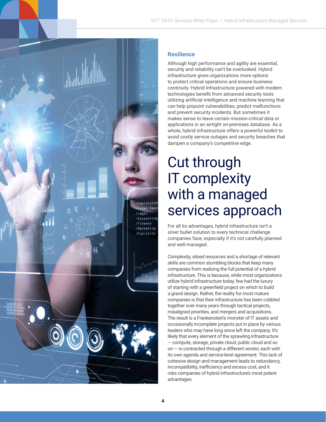

Although high performance and agility are essential, security and reliability can't be overlooked. Hybrid infrastructure gives organizations more options to protect critical operations and ensure business continuity. Hybrid Infrastructure powered with modern technologies benefit from advanced security tools utilizing artificial intelligence and machine learning that can help pinpoint vulnerabilities, predict malfunctions and prevent security incidents. But sometimes it makes sense to leave certain mission-critical data or applications in an airtight on-premises database. As a whole, hybrid infrastructure offers a powerful toolkit to avoid costly service outages and security breaches that dampen a company's competitive edge.

# Cut through IT complexity with a managed services approach

For all its advantages, hybrid infrastructure isn't a silver bullet solution to every technical challenge companies face, especially if it's not carefully planned and well-managed.

Complexity, siloed resources and a shortage of relevant skills are common stumbling blocks that keep many companies from realizing the full potential of a hybrid infrastructure. This is because, while most organizations utilize hybrid infrastructure today, few had the luxury of starting with a greenfield project on which to build a grand design. Rather, the reality for most mature companies is that their infrastructure has been cobbled together over many years through tactical projects, misaligned priorities, and mergers and acquisitions. The result is a Frankenstein's monster of IT assets and occasionally incomplete projects put in place by various leaders who may have long since left the company. It's likely that every element of the sprawling infrastructure — compute, storage, private cloud, public cloud and so on  $-$  is contracted through a different vendor, each with its own agenda and service-level agreement. This lack of cohesive design and management leads to redundancy, incompatibility, inefficiency and excess cost, and it robs companies of hybrid infrastructure's most potent advantages.

Administra Rest

/Legal /Accounting /Finence /Marketing /Publicity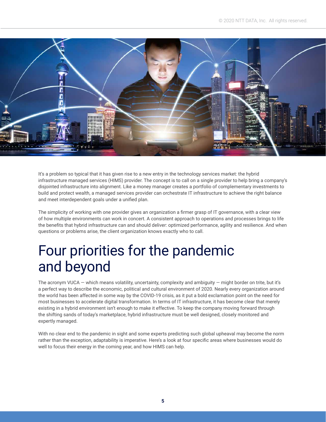

It's a problem so typical that it has given rise to a new entry in the technology services market: the hybrid infrastructure managed services (HIMS) provider. The concept is to call on a single provider to help bring a company's disjointed infrastructure into alignment. Like a money manager creates a portfolio of complementary investments to build and protect wealth, a managed services provider can orchestrate IT infrastructure to achieve the right balance and meet interdependent goals under a unified plan.

The simplicity of working with one provider gives an organization a firmer grasp of IT governance, with a clear view of how multiple environments can work in concert. A consistent approach to operations and processes brings to life the benefits that hybrid infrastructure can and should deliver: optimized performance, agility and resilience. And when questions or problems arise, the client organization knows exactly who to call.

### Four priorities for the pandemic and beyond

The acronym VUCA  $-$  which means volatility, uncertainty, complexity and ambiguity  $-$  might border on trite, but it's a perfect way to describe the economic, political and cultural environment of 2020. Nearly every organization around the world has been affected in some way by the COVID-19 crisis, as it put a bold exclamation point on the need for most businesses to accelerate digital transformation. In terms of IT infrastructure, it has become clear that merely existing in a hybrid environment isn't enough to make it effective. To keep the company moving forward through the shifting sands of today's marketplace, hybrid infrastructure must be well designed, closely monitored and expertly managed.

With no clear end to the pandemic in sight and some experts predicting such global upheaval may become the norm rather than the exception, adaptability is imperative. Here's a look at four specific areas where businesses would do well to focus their energy in the coming year, and how HIMS can help.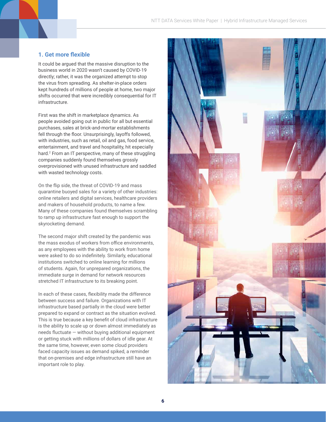#### **1. Get more flexible**

It could be argued that the massive disruption to the business world in 2020 wasn't caused by COVID-19 directly; rather, it was the organized attempt to stop the virus from spreading. As shelter-in-place orders kept hundreds of millions of people at home, two major shifts occurred that were incredibly consequential for IT infrastructure.

First was the shift in marketplace dynamics. As people avoided going out in public for all but essential purchases, sales at brick-and-mortar establishments fell through the floor. Unsurprisingly, layoffs followed, with industries, such as retail, oil and gas, food service, entertainment, and travel and hospitality, hit especially hard.2 From an IT perspective, many of these struggling companies suddenly found themselves grossly overprovisioned with unused infrastructure and saddled with wasted technology costs.

On the flip side, the threat of COVID-19 and mass quarantine buoyed sales for a variety of other industries: online retailers and digital services, healthcare providers and makers of household products, to name a few. Many of these companies found themselves scrambling to ramp up infrastructure fast enough to support the skyrocketing demand.

The second major shift created by the pandemic was the mass exodus of workers from office environments, as any employees with the ability to work from home were asked to do so indefinitely. Similarly, educational institutions switched to online learning for millions of students. Again, for unprepared organizations, the immediate surge in demand for network resources stretched IT infrastructure to its breaking point.

In each of these cases, flexibility made the difference between success and failure. Organizations with IT infrastructure based partially in the cloud were better prepared to expand or contract as the situation evolved. This is true because a key benefit of cloud infrastructure is the ability to scale up or down almost immediately as needs fluctuate — without buying additional equipment or getting stuck with millions of dollars of idle gear. At the same time, however, even some cloud providers faced capacity issues as demand spiked, a reminder that on-premises and edge infrastructure still have an important role to play.

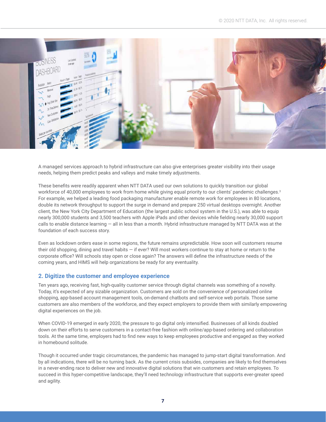

A managed services approach to hybrid infrastructure can also give enterprises greater visibility into their usage needs, helping them predict peaks and valleys and make timely adjustments.

These benefits were readily apparent when NTT DATA used our own solutions to quickly transition our global workforce of 40,000 employees to work from home while giving equal priority to our clients' pandemic challenges.<sup>3</sup> For example, we helped a leading food packaging manufacturer enable remote work for employees in 80 locations, double its network throughput to support the surge in demand and prepare 250 virtual desktops overnight. Another client, the New York City Department of Education (the largest public school system in the U.S.), was able to equip nearly 300,000 students and 3,500 teachers with Apple iPads and other devices while fielding nearly 30,000 support calls to enable distance learning — all in less than a month. Hybrid infrastructure managed by NTT DATA was at the foundation of each success story.

Even as lockdown orders ease in some regions, the future remains unpredictable. How soon will customers resume their old shopping, dining and travel habits — if ever? Will most workers continue to stay at home or return to the corporate office? Will schools stay open or close again? The answers will define the infrastructure needs of the coming years, and HIMS will help organizations be ready for any eventuality.

#### **2. Digitize the customer and employee experience**

Ten years ago, receiving fast, high-quality customer service through digital channels was something of a novelty. Today, it's expected of any sizable organization. Customers are sold on the convenience of personalized online shopping, app-based account management tools, on-demand chatbots and self-service web portals. Those same customers are also members of the workforce, and they expect employers to provide them with similarly empowering digital experiences on the job.

When COVID-19 emerged in early 2020, the pressure to go digital only intensified. Businesses of all kinds doubled down on their efforts to serve customers in a contact-free fashion with online/app-based ordering and collaboration tools. At the same time, employers had to find new ways to keep employees productive and engaged as they worked in homebound solitude.

Though it occurred under tragic circumstances, the pandemic has managed to jump-start digital transformation. And by all indications, there will be no turning back. As the current crisis subsides, companies are likely to find themselves in a never-ending race to deliver new and innovative digital solutions that win customers and retain employees. To succeed in this hyper-competitive landscape, they'll need technology infrastructure that supports ever-greater speed and agility.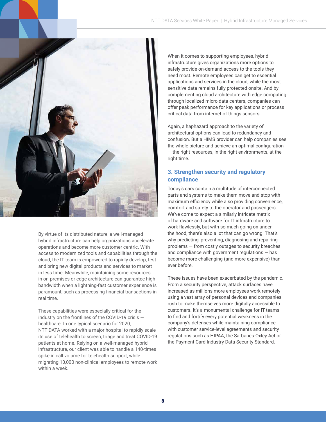

By virtue of its distributed nature, a well-managed hybrid infrastructure can help organizations accelerate operations and become more customer centric. With access to modernized tools and capabilities through the cloud, the IT team is empowered to rapidly develop, test and bring new digital products and services to market in less time. Meanwhile, maintaining some resources in on-premises or edge architecture can guarantee high bandwidth when a lightning-fast customer experience is paramount, such as processing financial transactions in real time.

These capabilities were especially critical for the industry on the frontlines of the COVID-19 crisis healthcare. In one typical scenario for 2020, NTT DATA worked with a major hospital to rapidly scale its use of telehealth to screen, triage and treat COVID-19 patients at home. Relying on a well-managed hybrid infrastructure, our client was able to handle a 140-times spike in call volume for telehealth support, while migrating 10,000 non-clinical employees to remote work within a week.

When it comes to supporting employees, hybrid infrastructure gives organizations more options to safely provide on-demand access to the tools they need most. Remote employees can get to essential applications and services in the cloud, while the most sensitive data remains fully protected onsite. And by complementing cloud architecture with edge computing through localized micro data centers, companies can offer peak performance for key applications or process critical data from internet of things sensors.

Again, a haphazard approach to the variety of architectural options can lead to redundancy and confusion. But a HIMS provider can help companies see the whole picture and achieve an optimal configuration — the right resources, in the right environments, at the right time.

#### **3. Strengthen security and regulatory compliance**

Today's cars contain a multitude of interconnected parts and systems to make them move and stop with maximum efficiency while also providing convenience, comfort and safety to the operator and passengers. We've come to expect a similarly intricate matrix of hardware and software for IT infrastructure to work flawlessly, but with so much going on under the hood, there's also a lot that can go wrong. That's why predicting, preventing, diagnosing and repairing problems — from costly outages to security breaches and compliance with government regulations — has become more challenging (and more expensive) than ever before.

These issues have been exacerbated by the pandemic. From a security perspective, attack surfaces have increased as millions more employees work remotely using a vast array of personal devices and companies rush to make themselves more digitally accessible to customers. It's a monumental challenge for IT teams to find and fortify every potential weakness in the company's defenses while maintaining compliance with customer service-level agreements and security regulations such as HIPAA, the Sarbanes-Oxley Act or the Payment Card Industry Data Security Standard.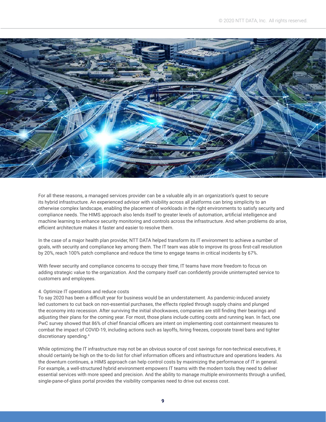

For all these reasons, a managed services provider can be a valuable ally in an organization's quest to secure its hybrid infrastructure. An experienced advisor with visibility across all platforms can bring simplicity to an otherwise complex landscape, enabling the placement of workloads in the right environments to satisfy security and compliance needs. The HIMS approach also lends itself to greater levels of automation, artificial intelligence and machine learning to enhance security monitoring and controls across the infrastructure. And when problems do arise, efficient architecture makes it faster and easier to resolve them.

In the case of a major health plan provider, NTT DATA helped transform its IT environment to achieve a number of goals, with security and compliance key among them. The IT team was able to improve its gross first-call resolution by 20%, reach 100% patch compliance and reduce the time to engage teams in critical incidents by 67%.

With fewer security and compliance concerns to occupy their time, IT teams have more freedom to focus on adding strategic value to the organization. And the company itself can confidently provide uninterrupted service to customers and employees.

#### 4. Optimize IT operations and reduce costs

To say 2020 has been a difficult year for business would be an understatement. As pandemic-induced anxiety led customers to cut back on non-essential purchases, the effects rippled through supply chains and plunged the economy into recession. After surviving the initial shockwaves, companies are still finding their bearings and adjusting their plans for the coming year. For most, those plans include cutting costs and running lean. In fact, one PwC survey showed that 86% of chief financial officers are intent on implementing cost containment measures to combat the impact of COVID-19, including actions such as layoffs, hiring freezes, corporate travel bans and tighter discretionary spending.4

While optimizing the IT infrastructure may not be an obvious source of cost savings for non-technical executives, it should certainly be high on the to-do list for chief information officers and infrastructure and operations leaders. As the downturn continues, a HIMS approach can help control costs by maximizing the performance of IT in general. For example, a well-structured hybrid environment empowers IT teams with the modern tools they need to deliver essential services with more speed and precision. And the ability to manage multiple environments through a unified, single-pane-of-glass portal provides the visibility companies need to drive out excess cost.